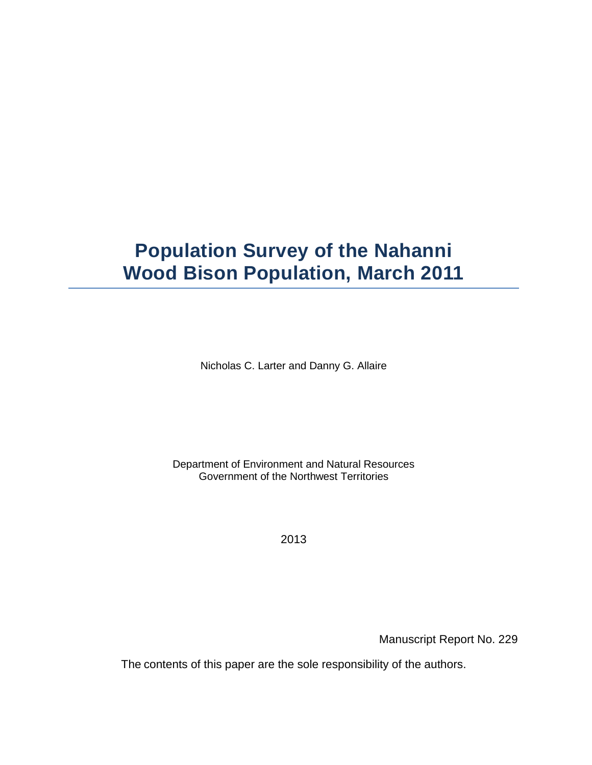# **Population Survey of the Nahanni Wood Bison Population, March 2011**

Nicholas C. Larter and Danny G. Allaire

Department of Environment and Natural Resources Government of the Northwest Territories

2013

Manuscript Report No. 229

The contents of this paper are the sole responsibility of the authors.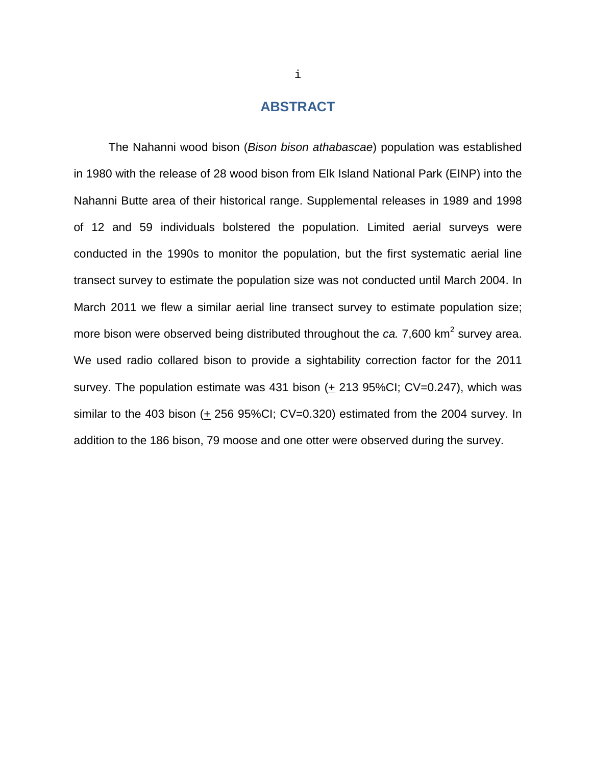### **ABSTRACT**

<span id="page-1-0"></span>The Nahanni wood bison (*Bison bison athabascae*) population was established in 1980 with the release of 28 wood bison from Elk Island National Park (EINP) into the Nahanni Butte area of their historical range. Supplemental releases in 1989 and 1998 of 12 and 59 individuals bolstered the population. Limited aerial surveys were conducted in the 1990s to monitor the population, but the first systematic aerial line transect survey to estimate the population size was not conducted until March 2004. In March 2011 we flew a similar aerial line transect survey to estimate population size; more bison were observed being distributed throughout the *ca.* 7,600 km<sup>2</sup> survey area. We used radio collared bison to provide a sightability correction factor for the 2011 survey. The population estimate was 431 bison  $(+ 213 95\% CI; CV=0.247)$ , which was similar to the 403 bison  $(+ 256 95\% CI; CV=0.320)$  estimated from the 2004 survey. In addition to the 186 bison, 79 moose and one otter were observed during the survey.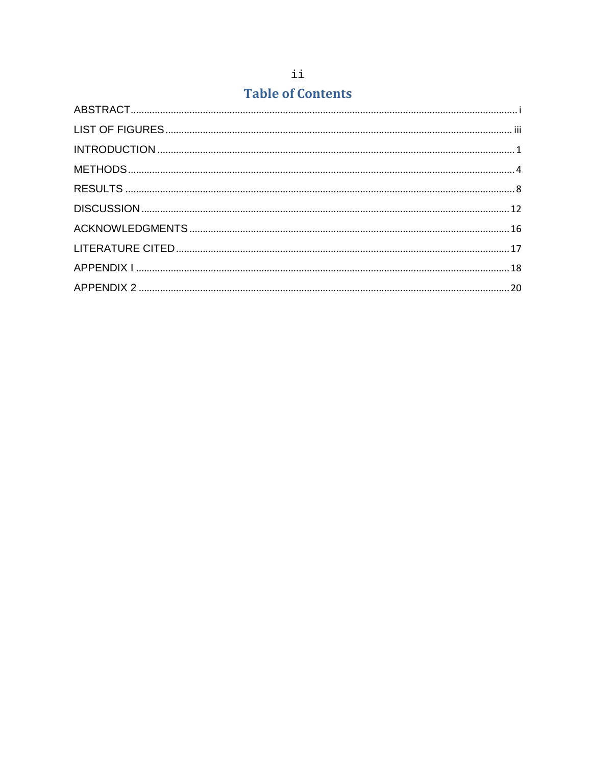# **Table of Contents**

<span id="page-2-0"></span>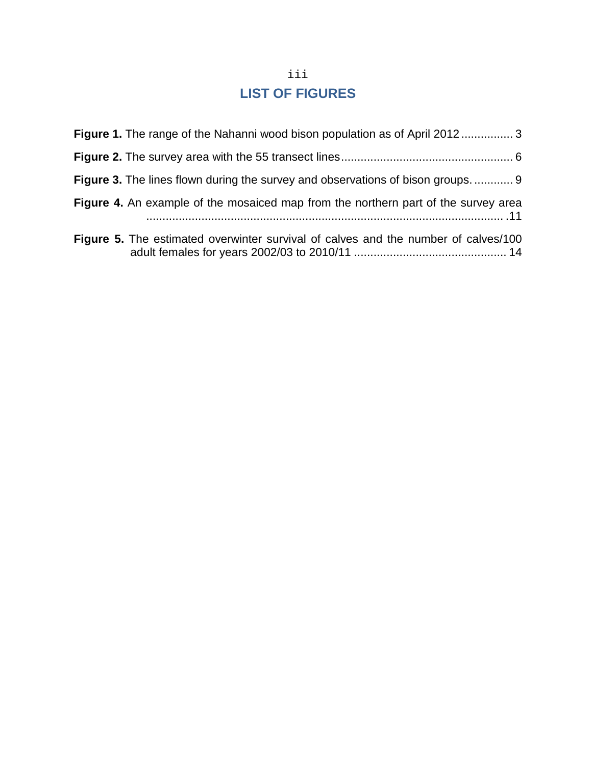# iii **LIST OF FIGURES**

| <b>Figure 1.</b> The range of the Nahanni wood bison population as of April 2012 3        |
|-------------------------------------------------------------------------------------------|
|                                                                                           |
| <b>Figure 3.</b> The lines flown during the survey and observations of bison groups.  9   |
| <b>Figure 4.</b> An example of the mosaiced map from the northern part of the survey area |
| Figure 5. The estimated overwinter survival of calves and the number of calves/100        |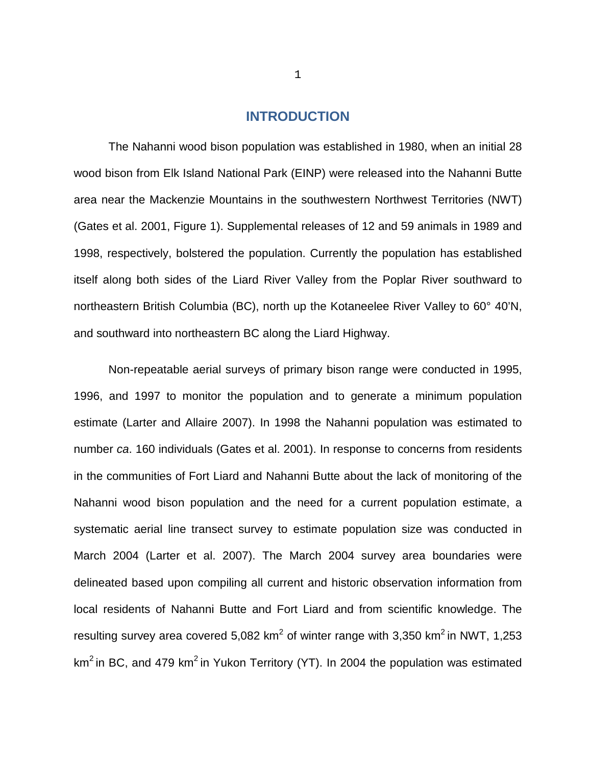#### **INTRODUCTION**

<span id="page-4-0"></span>The Nahanni wood bison population was established in 1980, when an initial 28 wood bison from Elk Island National Park (EINP) were released into the Nahanni Butte area near the Mackenzie Mountains in the southwestern Northwest Territories (NWT) (Gates et al. 2001, Figure 1). Supplemental releases of 12 and 59 animals in 1989 and 1998, respectively, bolstered the population. Currently the population has established itself along both sides of the Liard River Valley from the Poplar River southward to northeastern British Columbia (BC), north up the Kotaneelee River Valley to 60° 40'N, and southward into northeastern BC along the Liard Highway.

Non-repeatable aerial surveys of primary bison range were conducted in 1995, 1996, and 1997 to monitor the population and to generate a minimum population estimate (Larter and Allaire 2007). In 1998 the Nahanni population was estimated to number *ca*. 160 individuals (Gates et al. 2001). In response to concerns from residents in the communities of Fort Liard and Nahanni Butte about the lack of monitoring of the Nahanni wood bison population and the need for a current population estimate, a systematic aerial line transect survey to estimate population size was conducted in March 2004 (Larter et al. 2007). The March 2004 survey area boundaries were delineated based upon compiling all current and historic observation information from local residents of Nahanni Butte and Fort Liard and from scientific knowledge. The resulting survey area covered 5,082  $km^2$  of winter range with 3,350  $km^2$  in NWT, 1,253  $km<sup>2</sup>$  in BC, and 479 km<sup>2</sup> in Yukon Territory (YT). In 2004 the population was estimated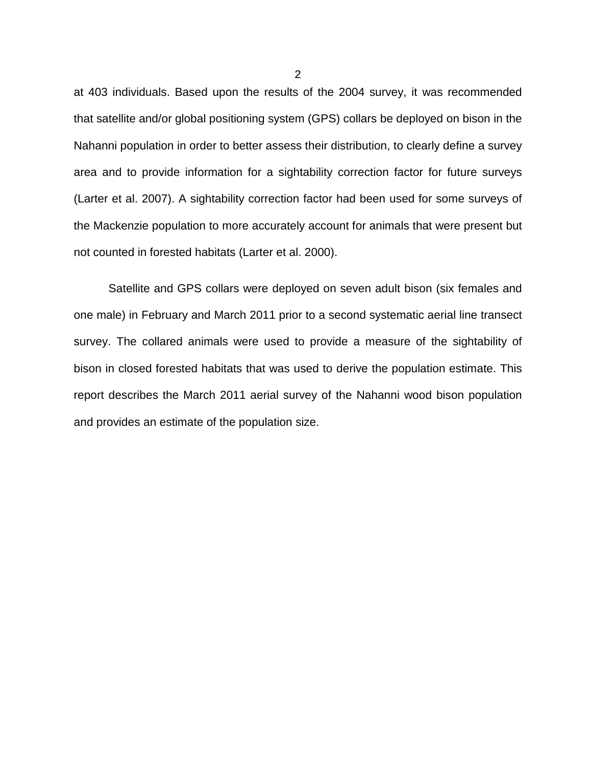at 403 individuals. Based upon the results of the 2004 survey, it was recommended that satellite and/or global positioning system (GPS) collars be deployed on bison in the Nahanni population in order to better assess their distribution, to clearly define a survey area and to provide information for a sightability correction factor for future surveys (Larter et al. 2007). A sightability correction factor had been used for some surveys of the Mackenzie population to more accurately account for animals that were present but not counted in forested habitats (Larter et al. 2000).

Satellite and GPS collars were deployed on seven adult bison (six females and one male) in February and March 2011 prior to a second systematic aerial line transect survey. The collared animals were used to provide a measure of the sightability of bison in closed forested habitats that was used to derive the population estimate. This report describes the March 2011 aerial survey of the Nahanni wood bison population and provides an estimate of the population size.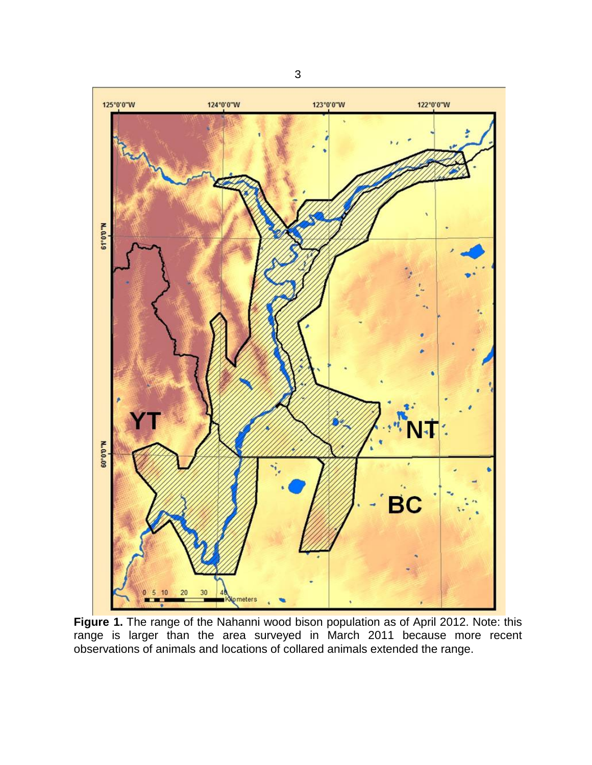

**Figure 1.** The range of the Nahanni wood bison population as of April 2012. Note: this range is larger than the area surveyed in March 2011 because more recent observations of animals and locations of collared animals extended the range.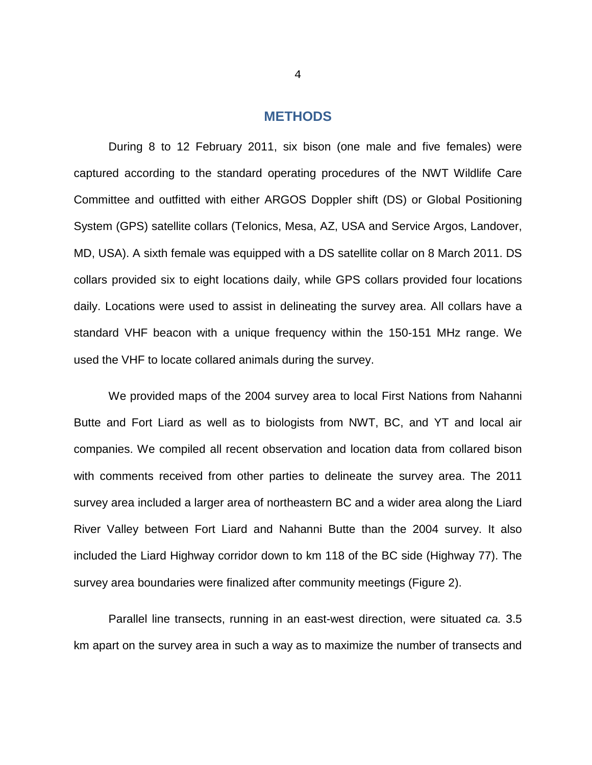#### **METHODS**

<span id="page-7-0"></span>During 8 to 12 February 2011, six bison (one male and five females) were captured according to the standard operating procedures of the NWT Wildlife Care Committee and outfitted with either ARGOS Doppler shift (DS) or Global Positioning System (GPS) satellite collars (Telonics, Mesa, AZ, USA and Service Argos, Landover, MD, USA). A sixth female was equipped with a DS satellite collar on 8 March 2011. DS collars provided six to eight locations daily, while GPS collars provided four locations daily. Locations were used to assist in delineating the survey area. All collars have a standard VHF beacon with a unique frequency within the 150-151 MHz range. We used the VHF to locate collared animals during the survey.

We provided maps of the 2004 survey area to local First Nations from Nahanni Butte and Fort Liard as well as to biologists from NWT, BC, and YT and local air companies. We compiled all recent observation and location data from collared bison with comments received from other parties to delineate the survey area. The 2011 survey area included a larger area of northeastern BC and a wider area along the Liard River Valley between Fort Liard and Nahanni Butte than the 2004 survey. It also included the Liard Highway corridor down to km 118 of the BC side (Highway 77). The survey area boundaries were finalized after community meetings (Figure 2).

Parallel line transects, running in an east-west direction, were situated *ca.* 3.5 km apart on the survey area in such a way as to maximize the number of transects and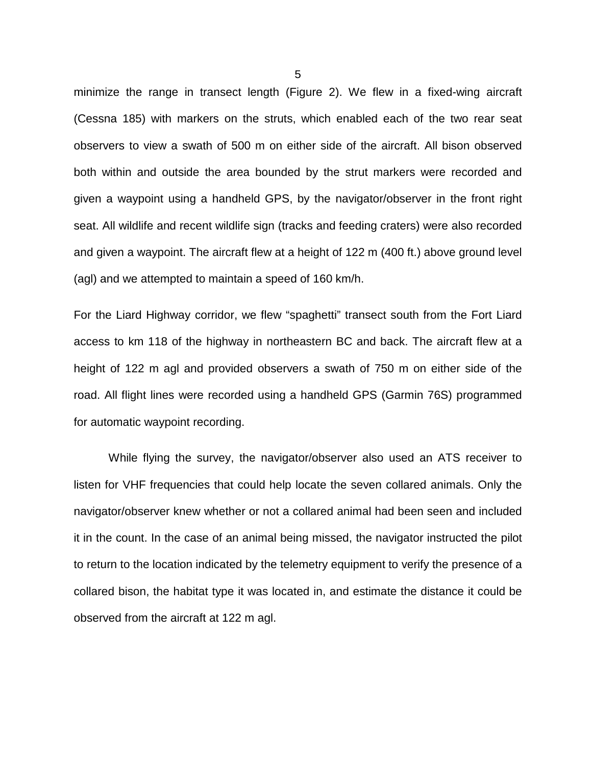minimize the range in transect length (Figure 2). We flew in a fixed-wing aircraft (Cessna 185) with markers on the struts, which enabled each of the two rear seat observers to view a swath of 500 m on either side of the aircraft. All bison observed both within and outside the area bounded by the strut markers were recorded and given a waypoint using a handheld GPS, by the navigator/observer in the front right seat. All wildlife and recent wildlife sign (tracks and feeding craters) were also recorded and given a waypoint. The aircraft flew at a height of 122 m (400 ft.) above ground level (agl) and we attempted to maintain a speed of 160 km/h.

For the Liard Highway corridor, we flew "spaghetti" transect south from the Fort Liard access to km 118 of the highway in northeastern BC and back. The aircraft flew at a height of 122 m agl and provided observers a swath of 750 m on either side of the road. All flight lines were recorded using a handheld GPS (Garmin 76S) programmed for automatic waypoint recording.

While flying the survey, the navigator/observer also used an ATS receiver to listen for VHF frequencies that could help locate the seven collared animals. Only the navigator/observer knew whether or not a collared animal had been seen and included it in the count. In the case of an animal being missed, the navigator instructed the pilot to return to the location indicated by the telemetry equipment to verify the presence of a collared bison, the habitat type it was located in, and estimate the distance it could be observed from the aircraft at 122 m agl.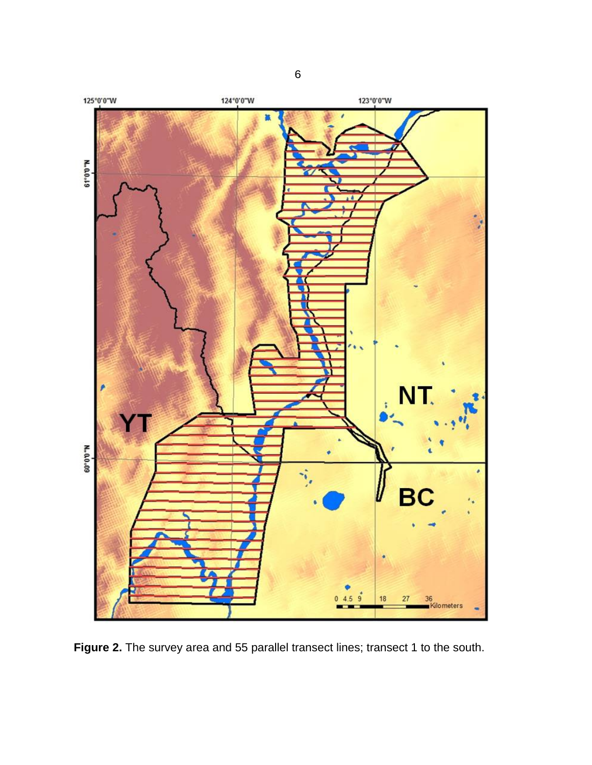

**Figure 2.** The survey area and 55 parallel transect lines; transect 1 to the south.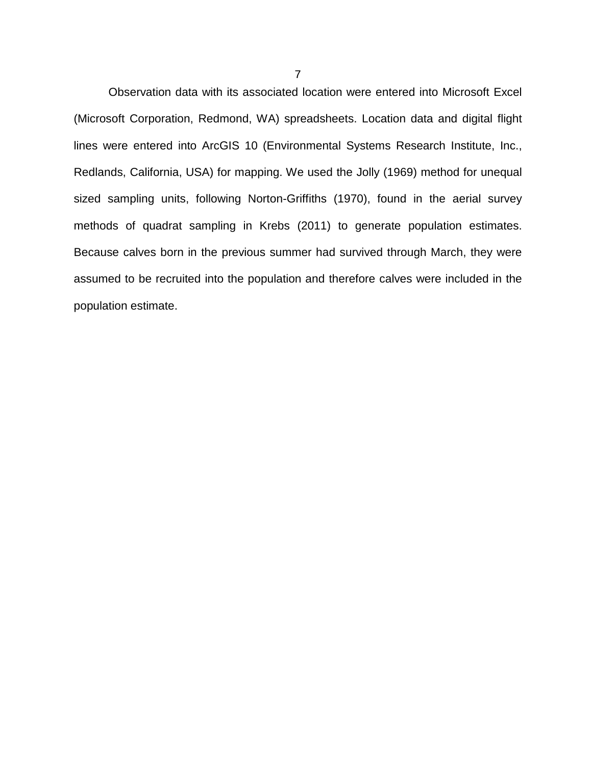<span id="page-10-0"></span>Observation data with its associated location were entered into Microsoft Excel (Microsoft Corporation, Redmond, WA) spreadsheets. Location data and digital flight lines were entered into ArcGIS 10 (Environmental Systems Research Institute, Inc., Redlands, California, USA) for mapping. We used the Jolly (1969) method for unequal sized sampling units, following Norton-Griffiths (1970), found in the aerial survey methods of quadrat sampling in Krebs (2011) to generate population estimates. Because calves born in the previous summer had survived through March, they were assumed to be recruited into the population and therefore calves were included in the population estimate.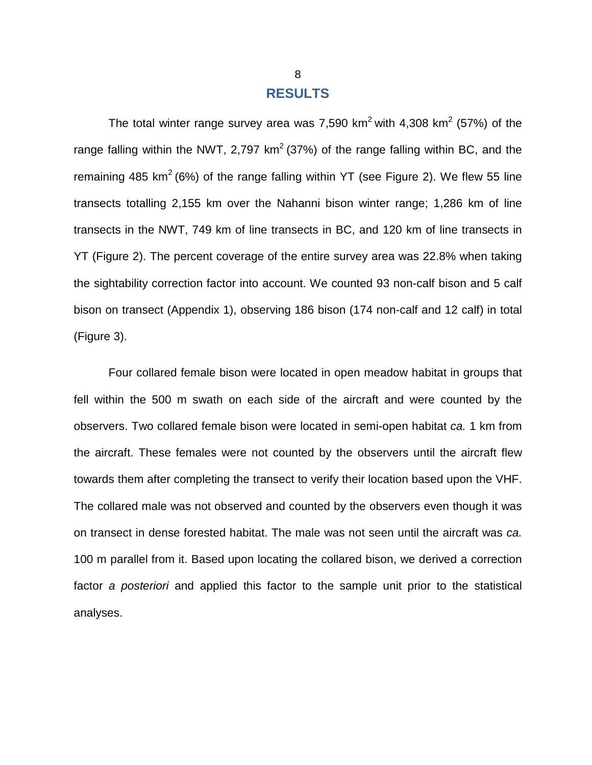#### **RESULTS**

The total winter range survey area was 7,590 km<sup>2</sup> with 4,308 km<sup>2</sup> (57%) of the range falling within the NWT, 2,797  $km^2$  (37%) of the range falling within BC, and the remaining 485 km<sup>2</sup> (6%) of the range falling within YT (see Figure 2). We flew 55 line transects totalling 2,155 km over the Nahanni bison winter range; 1,286 km of line transects in the NWT, 749 km of line transects in BC, and 120 km of line transects in YT (Figure 2). The percent coverage of the entire survey area was 22.8% when taking the sightability correction factor into account. We counted 93 non-calf bison and 5 calf bison on transect (Appendix 1), observing 186 bison (174 non-calf and 12 calf) in total (Figure 3).

Four collared female bison were located in open meadow habitat in groups that fell within the 500 m swath on each side of the aircraft and were counted by the observers. Two collared female bison were located in semi-open habitat *ca.* 1 km from the aircraft. These females were not counted by the observers until the aircraft flew towards them after completing the transect to verify their location based upon the VHF. The collared male was not observed and counted by the observers even though it was on transect in dense forested habitat. The male was not seen until the aircraft was *ca.*  100 m parallel from it. Based upon locating the collared bison, we derived a correction factor *a posteriori* and applied this factor to the sample unit prior to the statistical analyses.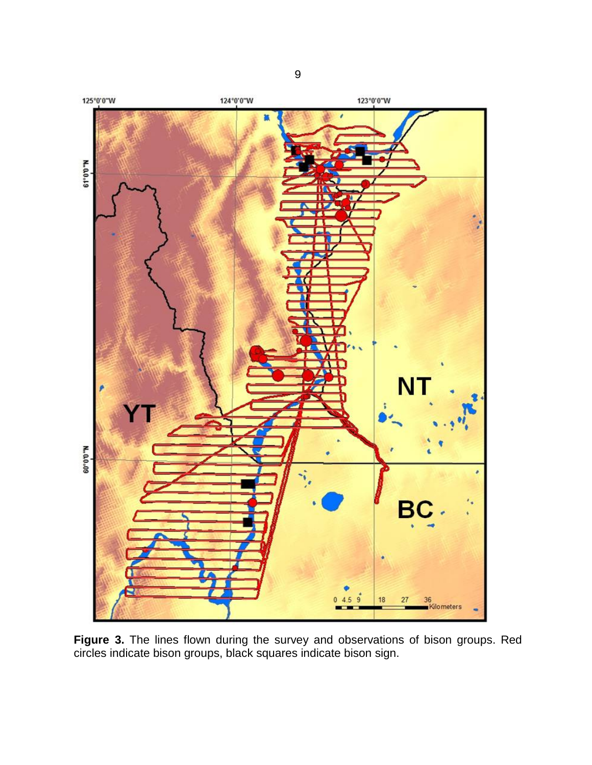

**Figure 3.** The lines flown during the survey and observations of bison groups. Red circles indicate bison groups, black squares indicate bison sign.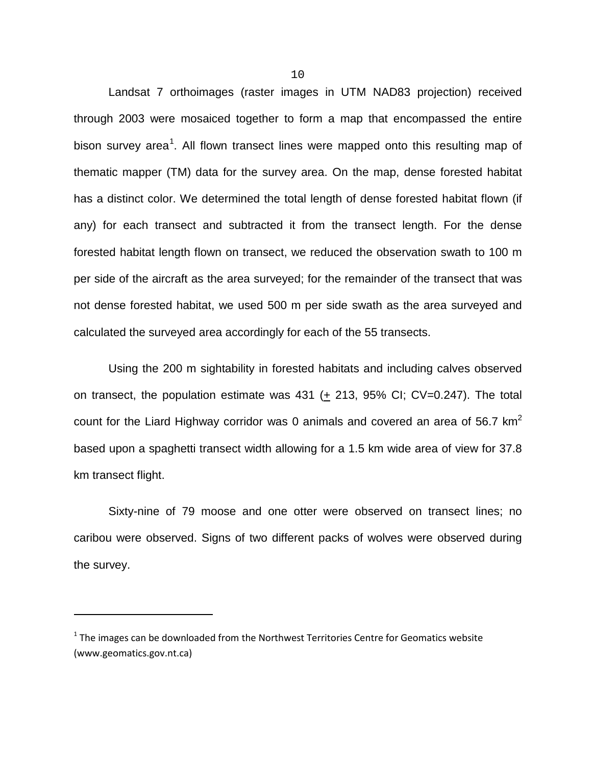Landsat 7 orthoimages (raster images in UTM NAD83 projection) received through 2003 were mosaiced together to form a map that encompassed the entire bison survey area<sup>[1](#page-13-0)</sup>. All flown transect lines were mapped onto this resulting map of thematic mapper (TM) data for the survey area. On the map, dense forested habitat has a distinct color. We determined the total length of dense forested habitat flown (if any) for each transect and subtracted it from the transect length. For the dense forested habitat length flown on transect, we reduced the observation swath to 100 m per side of the aircraft as the area surveyed; for the remainder of the transect that was not dense forested habitat, we used 500 m per side swath as the area surveyed and calculated the surveyed area accordingly for each of the 55 transects.

Using the 200 m sightability in forested habitats and including calves observed on transect, the population estimate was 431 (+ 213, 95% CI; CV=0.247). The total count for the Liard Highway corridor was 0 animals and covered an area of 56.7 km<sup>2</sup> based upon a spaghetti transect width allowing for a 1.5 km wide area of view for 37.8 km transect flight.

Sixty-nine of 79 moose and one otter were observed on transect lines; no caribou were observed. Signs of two different packs of wolves were observed during the survey.

 $\overline{\phantom{a}}$ 

<span id="page-13-0"></span> $1$  The images can be downloaded from the Northwest Territories Centre for Geomatics website (www.geomatics.gov.nt.ca)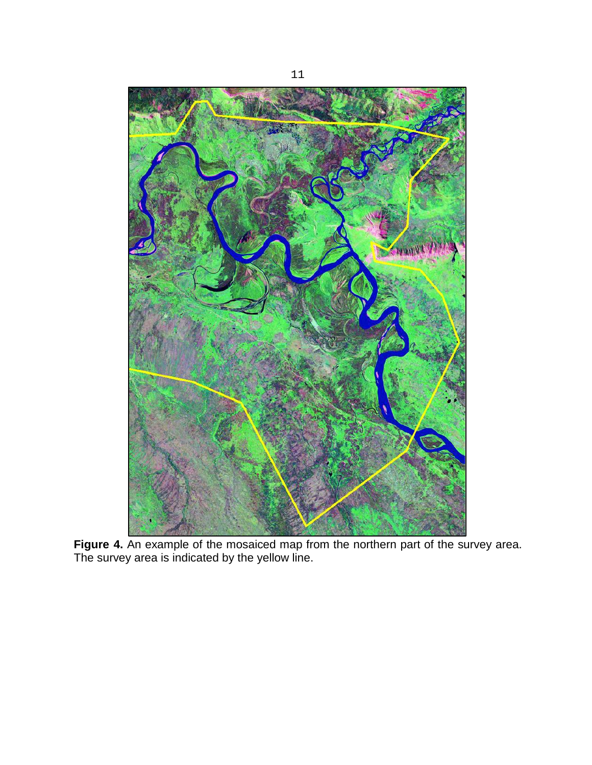

**Figure 4.** An example of the mosaiced map from the northern part of the survey area. The survey area is indicated by the yellow line.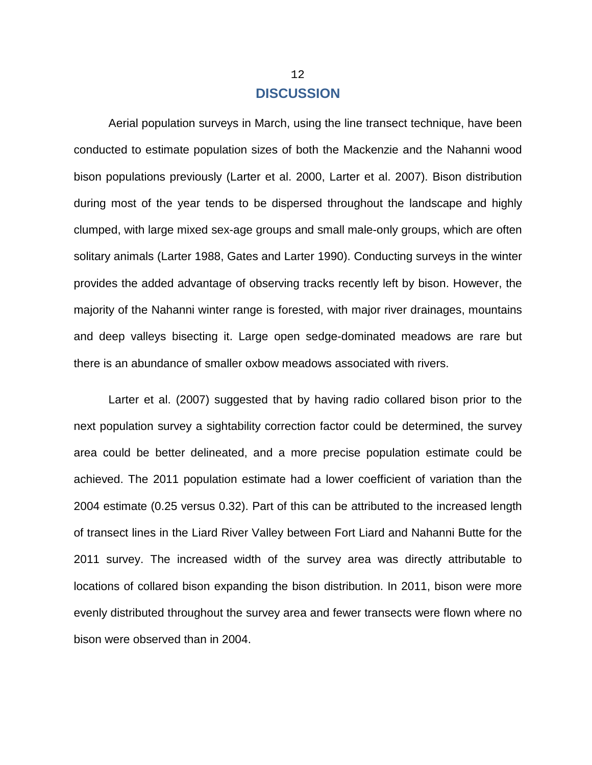### **DISCUSSION**

<span id="page-15-0"></span>Aerial population surveys in March, using the line transect technique, have been conducted to estimate population sizes of both the Mackenzie and the Nahanni wood bison populations previously (Larter et al. 2000, Larter et al. 2007). Bison distribution during most of the year tends to be dispersed throughout the landscape and highly clumped, with large mixed sex-age groups and small male-only groups, which are often solitary animals (Larter 1988, Gates and Larter 1990). Conducting surveys in the winter provides the added advantage of observing tracks recently left by bison. However, the majority of the Nahanni winter range is forested, with major river drainages, mountains and deep valleys bisecting it. Large open sedge-dominated meadows are rare but there is an abundance of smaller oxbow meadows associated with rivers.

Larter et al. (2007) suggested that by having radio collared bison prior to the next population survey a sightability correction factor could be determined, the survey area could be better delineated, and a more precise population estimate could be achieved. The 2011 population estimate had a lower coefficient of variation than the 2004 estimate (0.25 versus 0.32). Part of this can be attributed to the increased length of transect lines in the Liard River Valley between Fort Liard and Nahanni Butte for the 2011 survey. The increased width of the survey area was directly attributable to locations of collared bison expanding the bison distribution. In 2011, bison were more evenly distributed throughout the survey area and fewer transects were flown where no bison were observed than in 2004.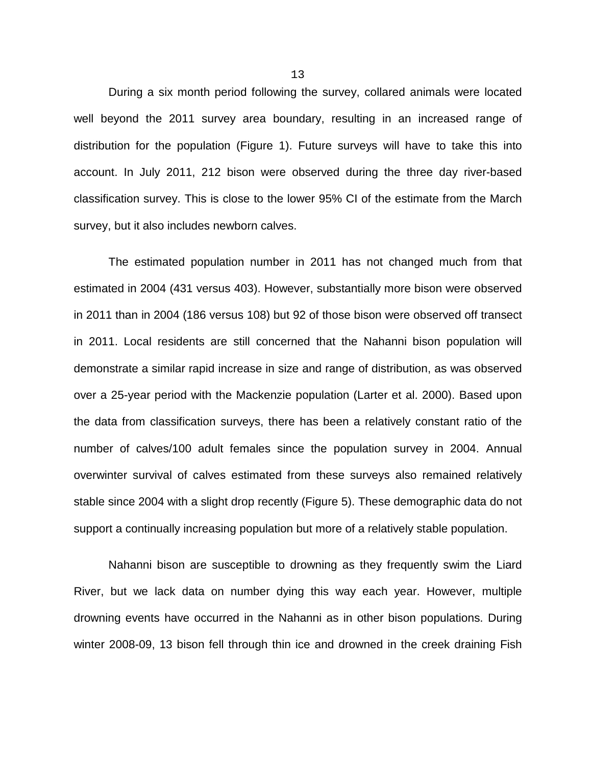During a six month period following the survey, collared animals were located well beyond the 2011 survey area boundary, resulting in an increased range of distribution for the population (Figure 1). Future surveys will have to take this into account. In July 2011, 212 bison were observed during the three day river-based classification survey. This is close to the lower 95% CI of the estimate from the March survey, but it also includes newborn calves.

The estimated population number in 2011 has not changed much from that estimated in 2004 (431 versus 403). However, substantially more bison were observed in 2011 than in 2004 (186 versus 108) but 92 of those bison were observed off transect in 2011. Local residents are still concerned that the Nahanni bison population will demonstrate a similar rapid increase in size and range of distribution, as was observed over a 25-year period with the Mackenzie population (Larter et al. 2000). Based upon the data from classification surveys, there has been a relatively constant ratio of the number of calves/100 adult females since the population survey in 2004. Annual overwinter survival of calves estimated from these surveys also remained relatively stable since 2004 with a slight drop recently (Figure 5). These demographic data do not support a continually increasing population but more of a relatively stable population.

Nahanni bison are susceptible to drowning as they frequently swim the Liard River, but we lack data on number dying this way each year. However, multiple drowning events have occurred in the Nahanni as in other bison populations. During winter 2008-09, 13 bison fell through thin ice and drowned in the creek draining Fish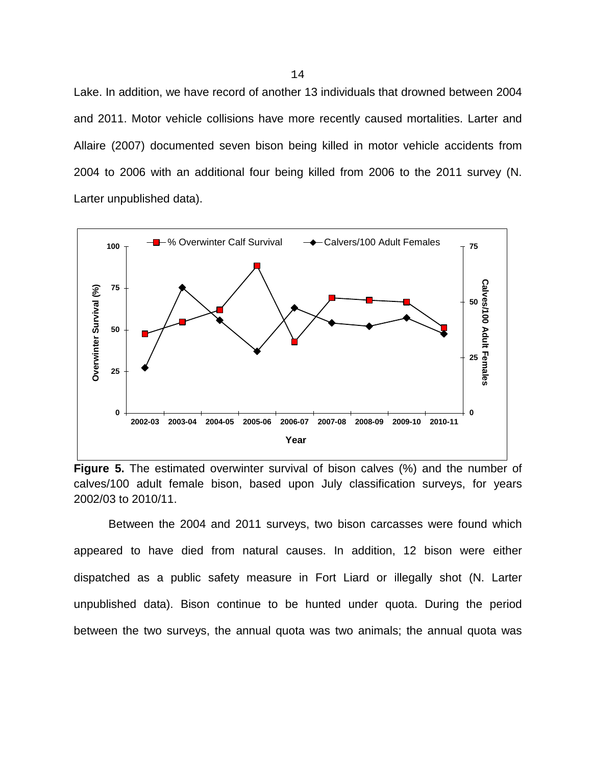Lake. In addition, we have record of another 13 individuals that drowned between 2004 and 2011. Motor vehicle collisions have more recently caused mortalities. Larter and Allaire (2007) documented seven bison being killed in motor vehicle accidents from 2004 to 2006 with an additional four being killed from 2006 to the 2011 survey (N. Larter unpublished data).





Between the 2004 and 2011 surveys, two bison carcasses were found which appeared to have died from natural causes. In addition, 12 bison were either dispatched as a public safety measure in Fort Liard or illegally shot (N. Larter unpublished data). Bison continue to be hunted under quota. During the period between the two surveys, the annual quota was two animals; the annual quota was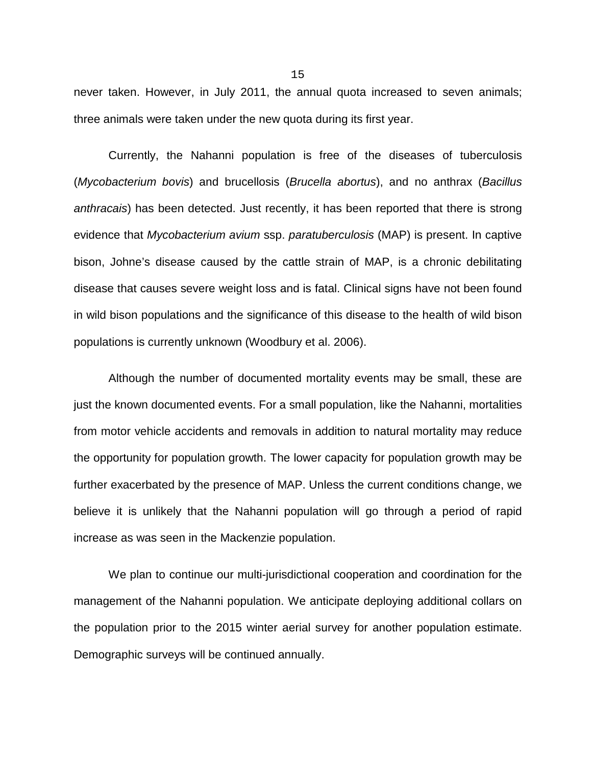never taken. However, in July 2011, the annual quota increased to seven animals; three animals were taken under the new quota during its first year.

Currently, the Nahanni population is free of the diseases of tuberculosis (*Mycobacterium bovis*) and brucellosis (*Brucella abortus*), and no anthrax (*Bacillus anthracais*) has been detected. Just recently, it has been reported that there is strong evidence that *Mycobacterium avium* ssp. *paratuberculosis* (MAP) is present. In captive bison, Johne's disease caused by the cattle strain of MAP, is a chronic debilitating disease that causes severe weight loss and is fatal. Clinical signs have not been found in wild bison populations and the significance of this disease to the health of wild bison populations is currently unknown (Woodbury et al. 2006).

Although the number of documented mortality events may be small, these are just the known documented events. For a small population, like the Nahanni, mortalities from motor vehicle accidents and removals in addition to natural mortality may reduce the opportunity for population growth. The lower capacity for population growth may be further exacerbated by the presence of MAP. Unless the current conditions change, we believe it is unlikely that the Nahanni population will go through a period of rapid increase as was seen in the Mackenzie population.

We plan to continue our multi-jurisdictional cooperation and coordination for the management of the Nahanni population. We anticipate deploying additional collars on the population prior to the 2015 winter aerial survey for another population estimate. Demographic surveys will be continued annually.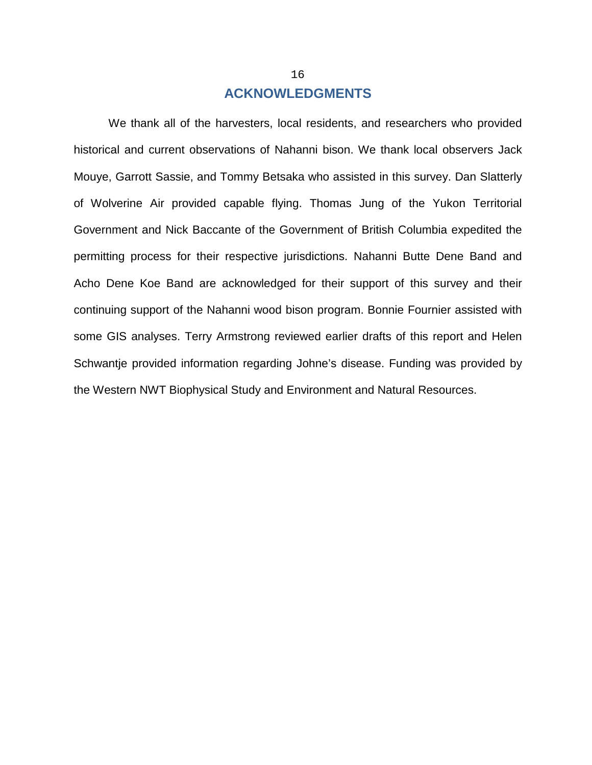## **ACKNOWLEDGMENTS**

<span id="page-19-0"></span>We thank all of the harvesters, local residents, and researchers who provided historical and current observations of Nahanni bison. We thank local observers Jack Mouye, Garrott Sassie, and Tommy Betsaka who assisted in this survey. Dan Slatterly of Wolverine Air provided capable flying. Thomas Jung of the Yukon Territorial Government and Nick Baccante of the Government of British Columbia expedited the permitting process for their respective jurisdictions. Nahanni Butte Dene Band and Acho Dene Koe Band are acknowledged for their support of this survey and their continuing support of the Nahanni wood bison program. Bonnie Fournier assisted with some GIS analyses. Terry Armstrong reviewed earlier drafts of this report and Helen Schwantje provided information regarding Johne's disease. Funding was provided by the Western NWT Biophysical Study and Environment and Natural Resources.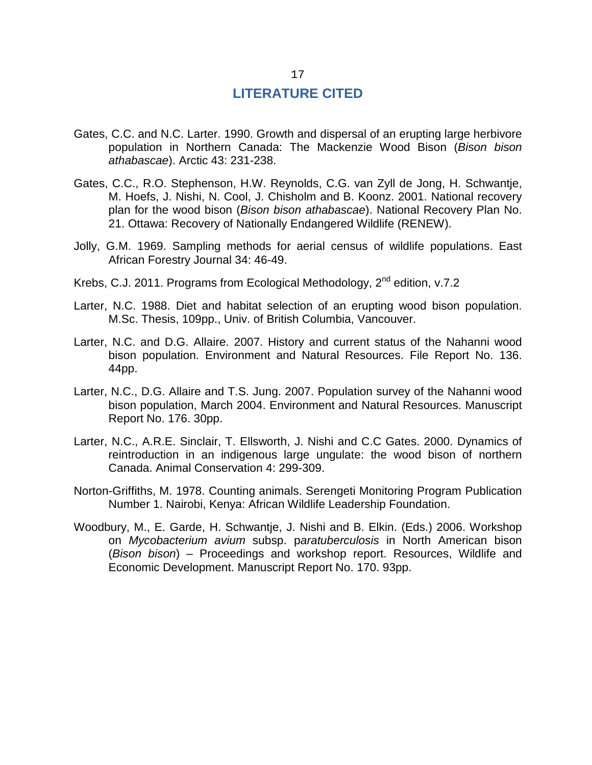#### **LITERATURE CITED**

- <span id="page-20-0"></span>Gates, C.C. and N.C. Larter. 1990. Growth and dispersal of an erupting large herbivore population in Northern Canada: The Mackenzie Wood Bison (*Bison bison athabascae*). Arctic 43: 231-238.
- Gates, C.C., R.O. Stephenson, H.W. Reynolds, C.G. van Zyll de Jong, H. Schwantje, M. Hoefs, J. Nishi, N. Cool, J. Chisholm and B. Koonz. 2001. National recovery plan for the wood bison (*Bison bison athabascae*). National Recovery Plan No. 21. Ottawa: Recovery of Nationally Endangered Wildlife (RENEW).
- Jolly, G.M. 1969. Sampling methods for aerial census of wildlife populations. East African Forestry Journal 34: 46-49.
- Krebs, C.J. 2011. Programs from Ecological Methodology, 2<sup>nd</sup> edition, v.7.2
- Larter, N.C. 1988. Diet and habitat selection of an erupting wood bison population. M.Sc. Thesis, 109pp., Univ. of British Columbia, Vancouver.
- Larter, N.C. and D.G. Allaire. 2007. History and current status of the Nahanni wood bison population. Environment and Natural Resources. File Report No. 136. 44pp.
- Larter, N.C., D.G. Allaire and T.S. Jung. 2007. Population survey of the Nahanni wood bison population, March 2004. Environment and Natural Resources. Manuscript Report No. 176. 30pp.
- Larter, N.C., A.R.E. Sinclair, T. Ellsworth, J. Nishi and C.C Gates. 2000. Dynamics of reintroduction in an indigenous large ungulate: the wood bison of northern Canada. Animal Conservation 4: 299-309.
- Norton-Griffiths, M. 1978. Counting animals. Serengeti Monitoring Program Publication Number 1. Nairobi, Kenya: African Wildlife Leadership Foundation.
- Woodbury, M., E. Garde, H. Schwantje, J. Nishi and B. Elkin. (Eds.) 2006. Workshop on *Mycobacterium avium* subsp. p*aratuberculosis* in North American bison (*Bison bison*) – Proceedings and workshop report. Resources, Wildlife and Economic Development. Manuscript Report No. 170. 93pp.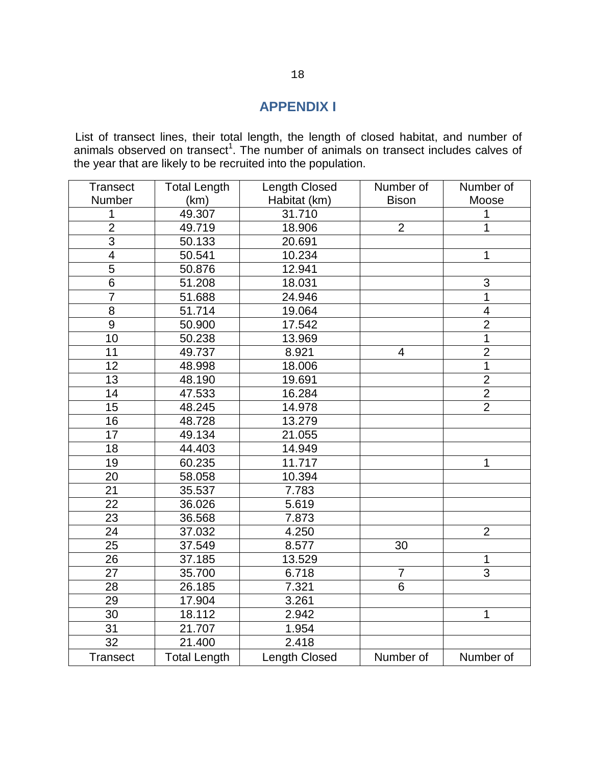### **APPENDIX I**

<span id="page-21-0"></span>List of transect lines, their total length, the length of closed habitat, and number of animals observed on transect<sup>1</sup>. The number of animals on transect includes calves of the year that are likely to be recruited into the population.

| <b>Transect</b>         | <b>Total Length</b> | <b>Length Closed</b>    | Number of      | Number of      |
|-------------------------|---------------------|-------------------------|----------------|----------------|
| <b>Number</b>           | (km)                | Habitat (km)            | <b>Bison</b>   | Moose          |
| 1                       | 49.307              | 31.710                  |                | 1              |
| $\overline{2}$          | 49.719              | 18.906                  | $\overline{2}$ | 1              |
| 3                       | 50.133              | 20.691                  |                |                |
| $\overline{\mathbf{4}}$ | 50.541              | 10.234                  |                | 1              |
| 5                       | 50.876              | 12.941                  |                |                |
| $\overline{6}$          | 51.208              | 18.031                  |                | 3              |
| $\overline{7}$          | 51.688              | 24.946                  |                | 1              |
| 8                       | 51.714              | 19.064                  |                | $\overline{4}$ |
| $\boldsymbol{9}$        | 50.900              | 17.542                  |                | $\overline{2}$ |
| 10                      | 50.238              | 13.969                  |                | 1              |
| 11                      | 49.737              | 8.921                   | 4              | $\overline{2}$ |
| 12                      | 48.998              | 18.006                  |                | 1              |
| 13                      | 48.190              | 19.691                  |                | $\frac{2}{2}$  |
| 14                      | 47.533              | 16.284                  |                |                |
| 15                      | 48.245              | 14.978                  |                | $\overline{2}$ |
| 16                      | 48.728              | 13.279                  |                |                |
| 17                      | 49.134              | 21.055                  |                |                |
| 18                      | 44.403              | 14.949                  |                |                |
| 19                      | 60.235              | 11.717                  |                | 1              |
| 20                      | 58.058              | 10.394                  |                |                |
| 21                      | 35.537              | 7.783                   |                |                |
| 22                      | 36.026              | 5.619                   |                |                |
| 23                      | 36.568              | 7.873                   |                |                |
| 24                      | 37.032              | 4.250                   |                | $\overline{2}$ |
| 25                      | 37.549              | 8.577                   | 30             |                |
| 26                      | 37.185              | 13.529                  |                | 1              |
| 27                      | 35.700              | $\overline{7}$<br>6.718 |                | 3              |
| 28                      | 26.185              | 7.321                   | 6              |                |
| 29                      | 17.904              | 3.261                   |                |                |
| 30                      | 18.112              | 2.942                   |                | 1              |
| 31                      | 21.707              | 1.954                   |                |                |
| $\overline{32}$         | 21.400              | 2.418                   |                |                |
| <b>Transect</b>         | <b>Total Length</b> | Length Closed           | Number of      | Number of      |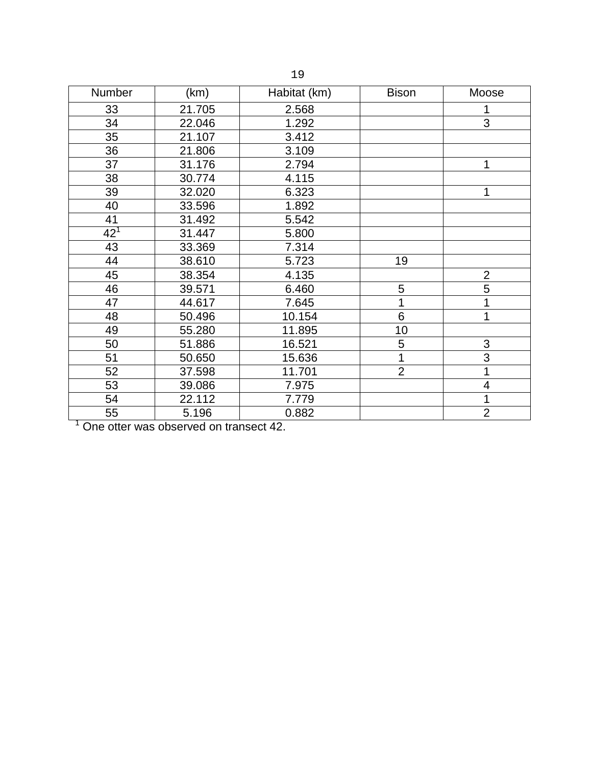|  | ۰.<br>٠ |
|--|---------|
|  |         |

| Number          | (km)   | Habitat (km)<br><b>Bison</b> |                | Moose          |
|-----------------|--------|------------------------------|----------------|----------------|
| 33              | 21.705 | 2.568                        |                |                |
| 34              | 22.046 | 1.292                        |                | 3              |
| 35              | 21.107 | 3.412                        |                |                |
| 36              | 21.806 | 3.109                        |                |                |
| 37              | 31.176 | 2.794                        |                | 1              |
| 38              | 30.774 | 4.115                        |                |                |
| 39              | 32.020 | 6.323                        |                | 1              |
| 40              | 33.596 | 1.892                        |                |                |
| 41              | 31.492 | 5.542                        |                |                |
| 42 <sup>1</sup> | 31.447 | 5.800                        |                |                |
| 43              | 33.369 | 7.314                        |                |                |
| 44              | 38.610 | 5.723                        | 19             |                |
| 45              | 38.354 | 4.135                        |                | $\overline{2}$ |
| 46              | 39.571 | 6.460                        | 5              |                |
| 47              | 44.617 | 7.645                        | 1              | 1              |
| 48              | 50.496 | 10.154                       | 6              | 1              |
| 49              | 55.280 | 11.895                       | 10             |                |
| 50              | 51.886 | 16.521                       | 5              | 3              |
| 51              | 50.650 | 15.636                       | 1              | 3              |
| 52              | 37.598 | 11.701                       | $\overline{2}$ | 1              |
| 53              | 39.086 | 7.975                        |                | 4              |
| 54              | 22.112 | 7.779                        |                | 1              |
| 55              | 5.196  | 0.882                        |                | $\overline{2}$ |

One otter was observed on transect 42.